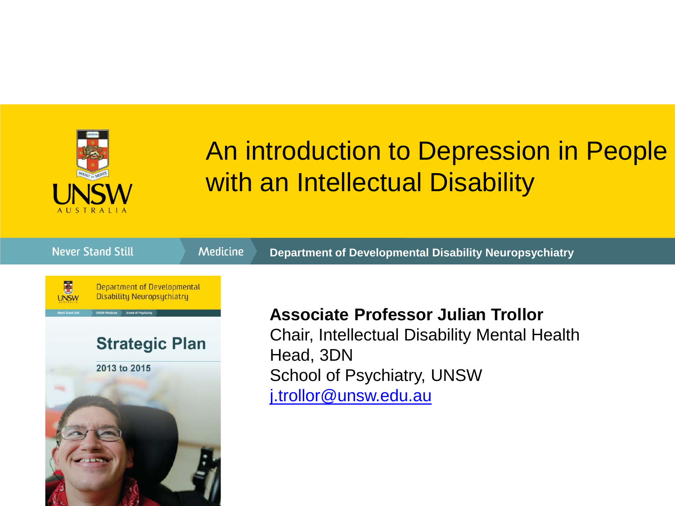

#### An introduction to Depression in People with an Intellectual Disability

| <b>Never Stand Still</b>                                                                                                                                                                          | <b>Medicine</b> | <b>Department of Developmental Disability Neuropsychiatry</b>                                                                                                        |
|---------------------------------------------------------------------------------------------------------------------------------------------------------------------------------------------------|-----------------|----------------------------------------------------------------------------------------------------------------------------------------------------------------------|
| E<br>Department of Developmental<br><b>Disability Neuropsychiatry</b><br><b>Inver Stand Still</b><br><b>UNSW Medicine</b><br><b>School of Psuchiatru</b><br><b>Strategic Plan</b><br>2013 to 2015 |                 | <b>Associate Professor Julian Trollor</b><br><b>Chair, Intellectual Disability Mental Health</b><br>Head, 3DN<br>School of Psychiatry, UNSW<br>j.trollor@unsw.edu.au |
|                                                                                                                                                                                                   |                 |                                                                                                                                                                      |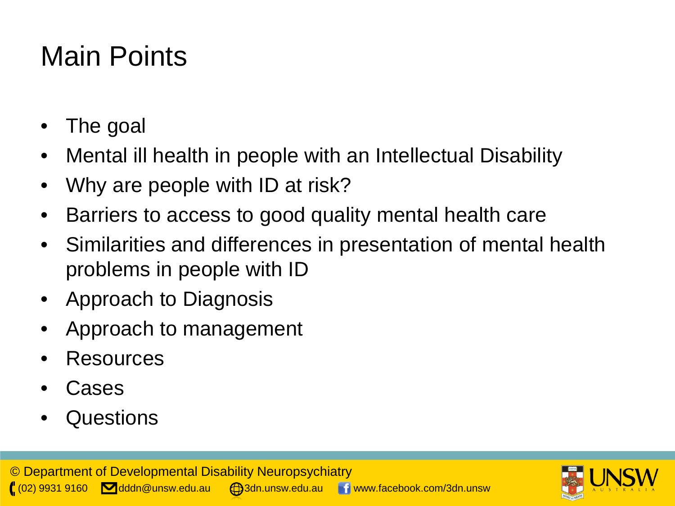## Main Points

- The goal
- Mental ill health in people with an Intellectual Disability
- Why are people with ID at risk?
- Barriers to access to good quality mental health care
- Similarities and differences in presentation of mental health problems in people with ID
- Approach to Diagnosis
- Approach to management
- Resources
- **Cases**
- Questions

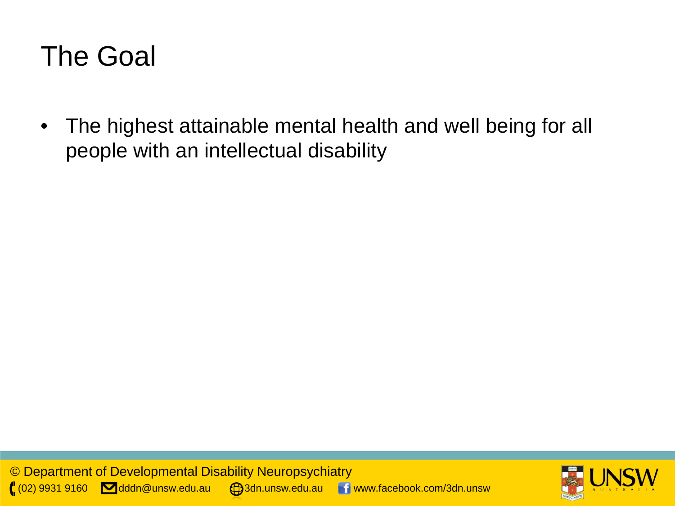#### The Goal

• The highest attainable mental health and well being for all people with an intellectual disability

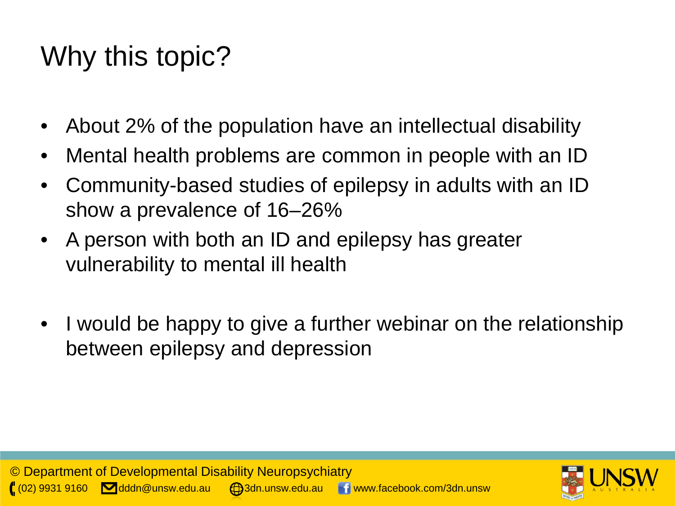## Why this topic?

- About 2% of the population have an intellectual disability
- Mental health problems are common in people with an ID
- Community-based studies of epilepsy in adults with an ID show a prevalence of 16–26%
- A person with both an ID and epilepsy has greater vulnerability to mental ill health
- I would be happy to give a further webinar on the relationship between epilepsy and depression

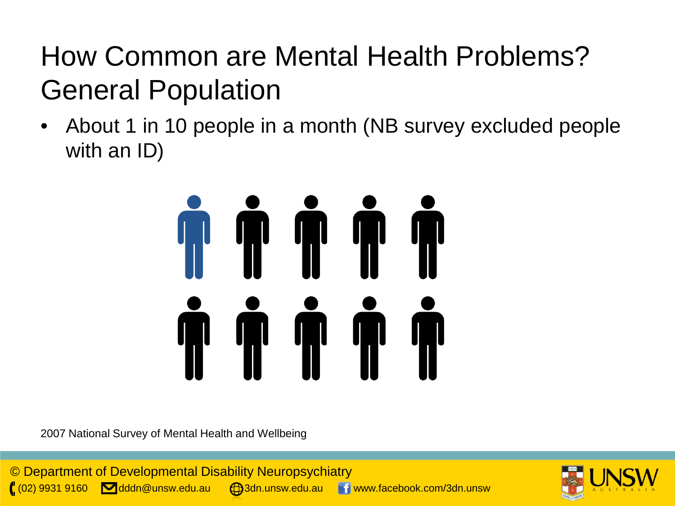# How Common are Mental Health Problems? General Population

• About 1 in 10 people in a month (NB survey excluded people with an ID)



2007 National Survey of Mental Health and Wellbeing



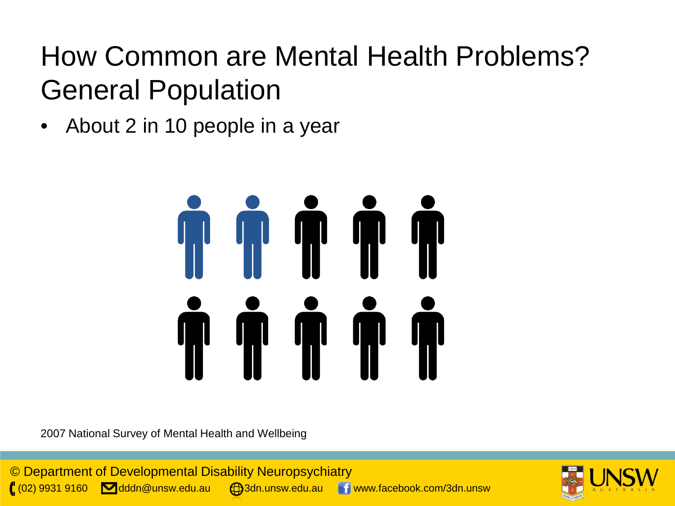## How Common are Mental Health Problems? General Population

• About 2 in 10 people in a year



2007 National Survey of Mental Health and Wellbeing



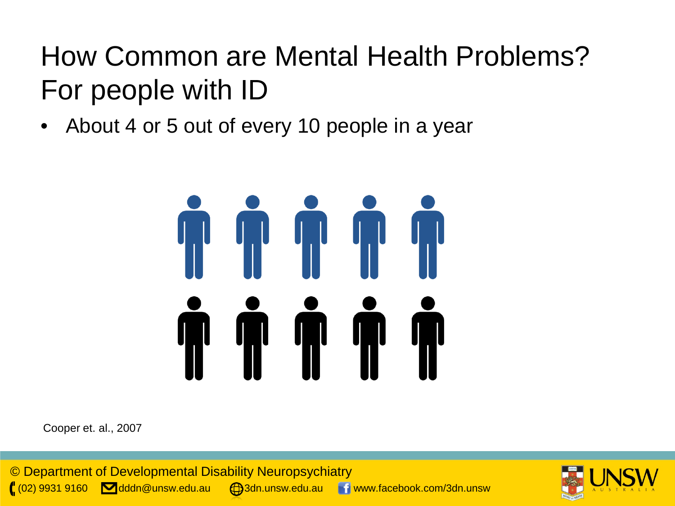## How Common are Mental Health Problems? For people with ID

• About 4 or 5 out of every 10 people in a year



Cooper et. al., 2007



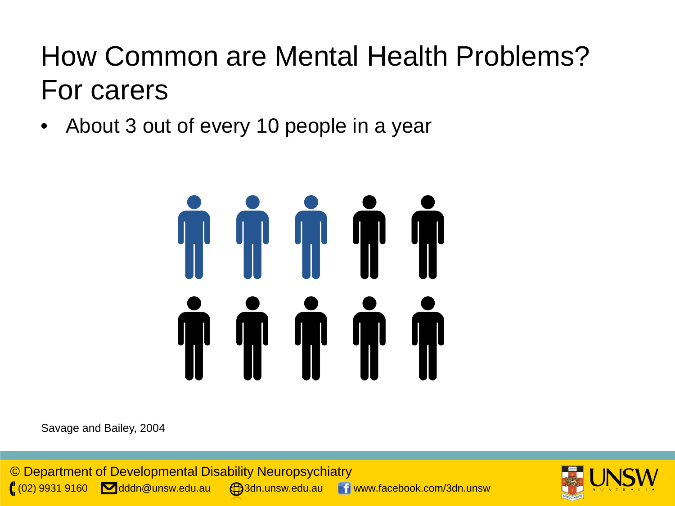## How Common are Mental Health Problems? For carers

• About 3 out of every 10 people in a year



Savage and Bailey, 2004



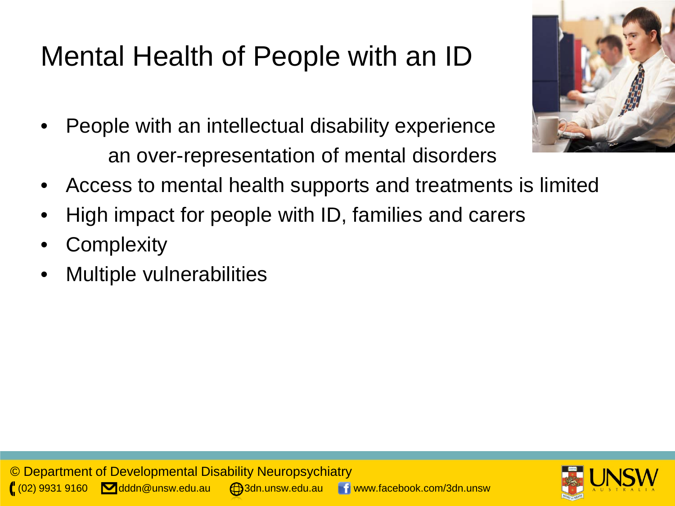# Mental Health of People with an ID

- People with an intellectual disability experience an over-representation of mental disorders
- Access to mental health supports and treatments is limited
- High impact for people with ID, families and carers
- **Complexity**
- Multiple vulnerabilities



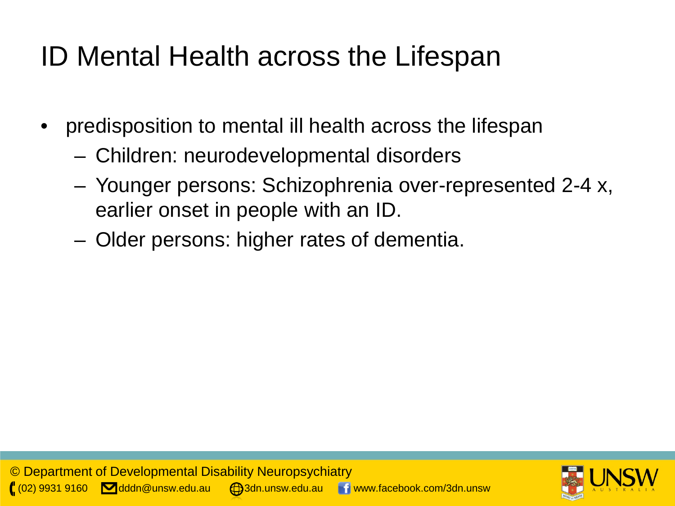## ID Mental Health across the Lifespan

- predisposition to mental ill health across the lifespan
	- Children: neurodevelopmental disorders
	- Younger persons: Schizophrenia over-represented 2-4 x, earlier onset in people with an ID.
	- Older persons: higher rates of dementia.

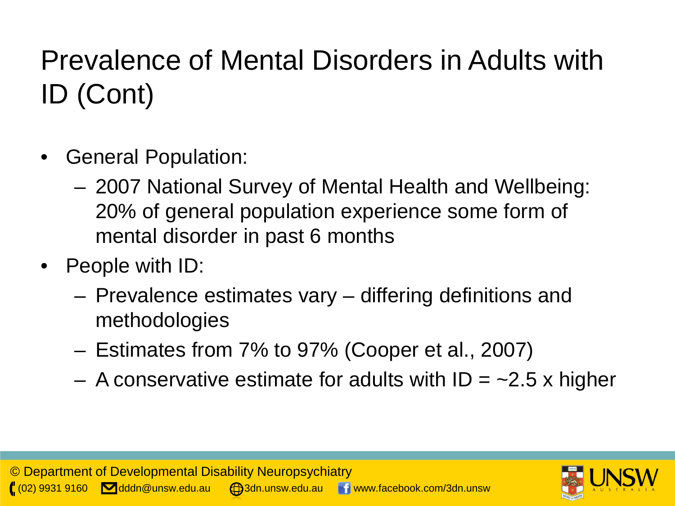# Prevalence of Mental Disorders in Adults with ID (Cont)

- General Population:
	- 2007 National Survey of Mental Health and Wellbeing: 20% of general population experience some form of mental disorder in past 6 months
- People with ID:
	- Prevalence estimates vary differing definitions and methodologies
	- Estimates from 7% to 97% (Cooper et al., 2007)
	- A conservative estimate for adults with  $ID = -2.5$  x higher

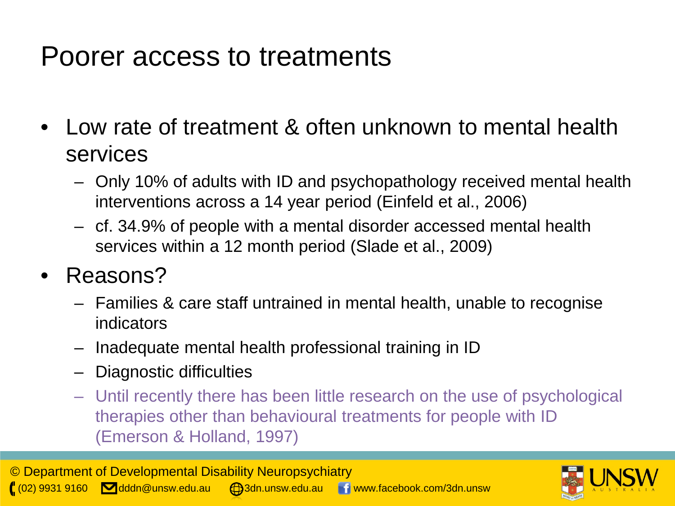#### Poorer access to treatments

- Low rate of treatment & often unknown to mental health services
	- Only 10% of adults with ID and psychopathology received mental health interventions across a 14 year period (Einfeld et al., 2006)
	- cf. 34.9% of people with a mental disorder accessed mental health services within a 12 month period (Slade et al., 2009)
- Reasons?
	- Families & care staff untrained in mental health, unable to recognise indicators
	- Inadequate mental health professional training in ID
	- Diagnostic difficulties
	- Until recently there has been little research on the use of psychological therapies other than behavioural treatments for people with ID (Emerson & Holland, 1997)

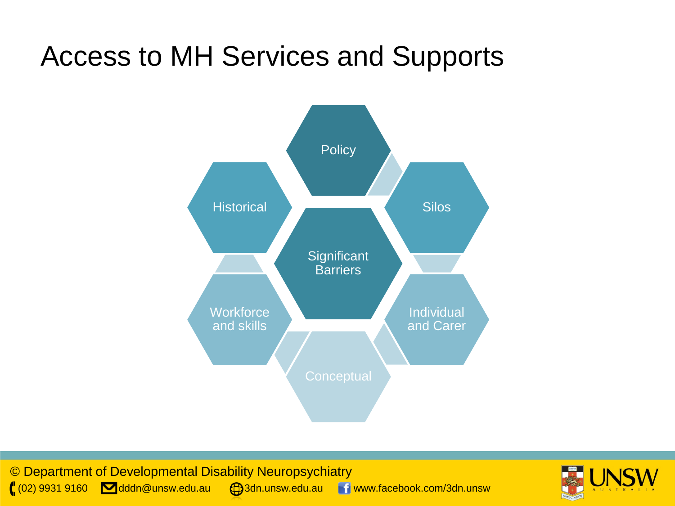## Access to MH Services and Supports



© Department of Developmental Disability Neuropsychiatry ( $(02)$  9931 9160 dddn@unsw.edu.au  $\bigoplus$ 3dn.unsw.edu.au www.facebook.com/3dn.unsw

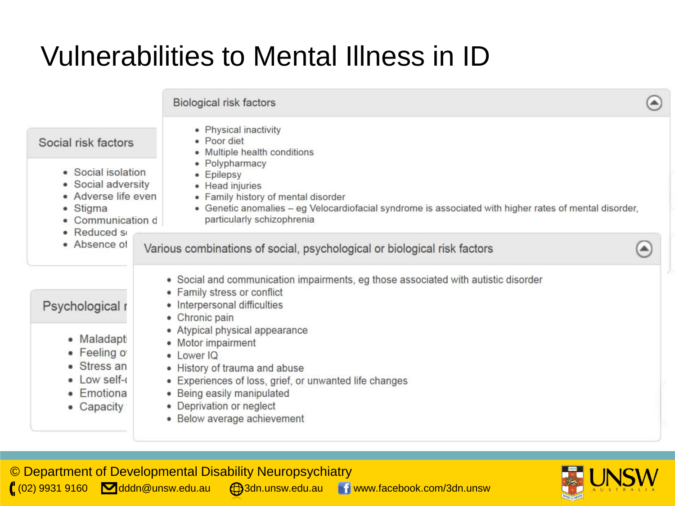## Vulnerabilities to Mental Illness in ID

|                                                                                                | Biological risk factors                                                                                                                                                                                                        |  |
|------------------------------------------------------------------------------------------------|--------------------------------------------------------------------------------------------------------------------------------------------------------------------------------------------------------------------------------|--|
| Social risk factors                                                                            | • Physical inactivity<br>· Poor diet<br>• Multiple health conditions                                                                                                                                                           |  |
| • Social isolation<br>• Social adversity<br>• Adverse life even<br>Stigma<br>• Communication d | • Polypharmacy<br>• Epilepsy<br>• Head injuries<br>• Family history of mental disorder<br>• Genetic anomalies – eg Velocardiofacial syndrome is associated with higher rates of mental disorder,<br>particularly schizophrenia |  |
| • Reduced s<br>• Absence of                                                                    | Various combinations of social, psychological or biological risk factors                                                                                                                                                       |  |
| Psychological r                                                                                | • Social and communication impairments, eg those associated with autistic disorder<br>• Family stress or conflict<br>· Interpersonal difficulties<br>• Chronic pain                                                            |  |
| • Maladapt<br>· Feeling of<br>• Stress an<br>$\bullet$ Low self- $\cdot$<br>• Emotiona         | • Atypical physical appearance<br>• Motor impairment<br>• Lower IQ<br>• History of trauma and abuse<br>• Experiences of loss, grief, or unwanted life changes<br>• Being easily manipulated<br>• Deprivation or neglect        |  |
| • Capacity                                                                                     | • Below average achievement                                                                                                                                                                                                    |  |

© Department of Developmental Disability Neuropsychiatry ( $(02)$  9931 9160 **dddn@unsw.edu.au @3dn.unsw.edu.au** www.facebook.com/3dn.unsw

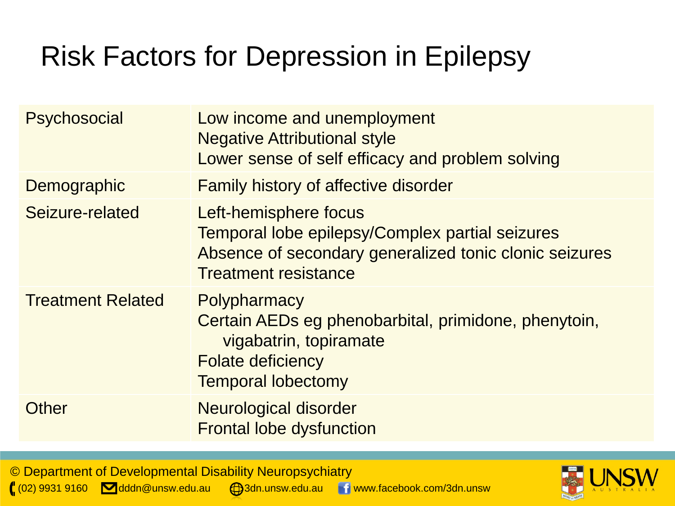# Risk Factors for Depression in Epilepsy

| <b>Psychosocial</b>      | Low income and unemployment<br><b>Negative Attributional style</b><br>Lower sense of self efficacy and problem solving                                            |
|--------------------------|-------------------------------------------------------------------------------------------------------------------------------------------------------------------|
| Demographic              | <b>Family history of affective disorder</b>                                                                                                                       |
| Seizure-related          | Left-hemisphere focus<br>Temporal lobe epilepsy/Complex partial seizures<br>Absence of secondary generalized tonic clonic seizures<br><b>Treatment resistance</b> |
| <b>Treatment Related</b> | Polypharmacy<br>Certain AEDs eg phenobarbital, primidone, phenytoin,<br>vigabatrin, topiramate<br><b>Folate deficiency</b><br><b>Temporal lobectomy</b>           |
| Other                    | Neurological disorder<br><b>Frontal lobe dysfunction</b>                                                                                                          |

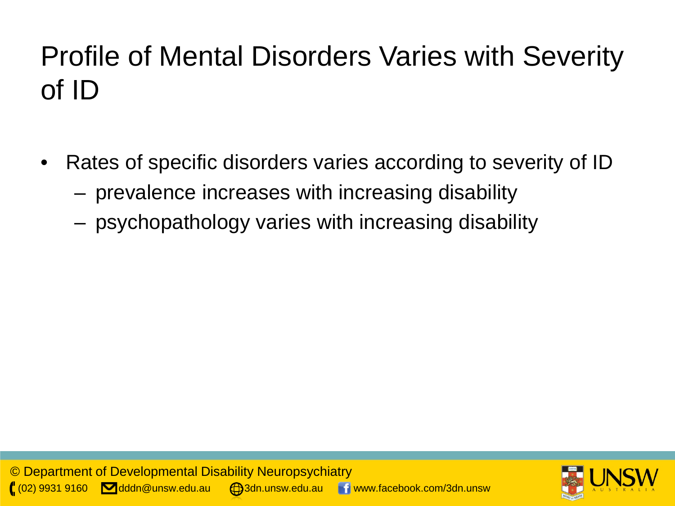# Profile of Mental Disorders Varies with Severity of ID

- Rates of specific disorders varies according to severity of ID
	- prevalence increases with increasing disability
	- psychopathology varies with increasing disability

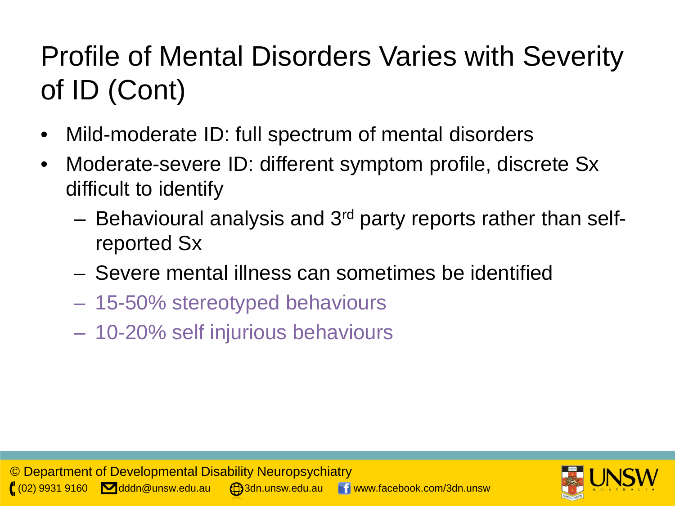# Profile of Mental Disorders Varies with Severity of ID (Cont)

- Mild-moderate ID: full spectrum of mental disorders
- Moderate-severe ID: different symptom profile, discrete Sx difficult to identify
	- Behavioural analysis and 3rd party reports rather than selfreported Sx
	- Severe mental illness can sometimes be identified
	- 15-50% stereotyped behaviours
	- 10-20% self injurious behaviours

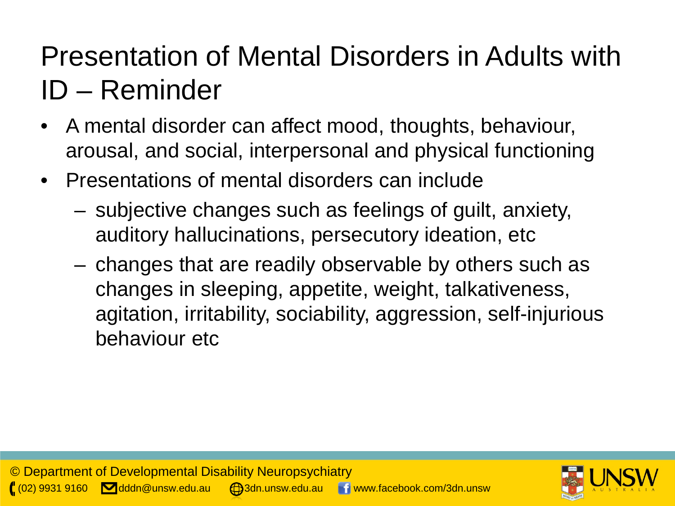## Presentation of Mental Disorders in Adults with ID – Reminder

- A mental disorder can affect mood, thoughts, behaviour, arousal, and social, interpersonal and physical functioning
- Presentations of mental disorders can include
	- subjective changes such as feelings of guilt, anxiety, auditory hallucinations, persecutory ideation, etc
	- changes that are readily observable by others such as changes in sleeping, appetite, weight, talkativeness, agitation, irritability, sociability, aggression, self-injurious behaviour etc

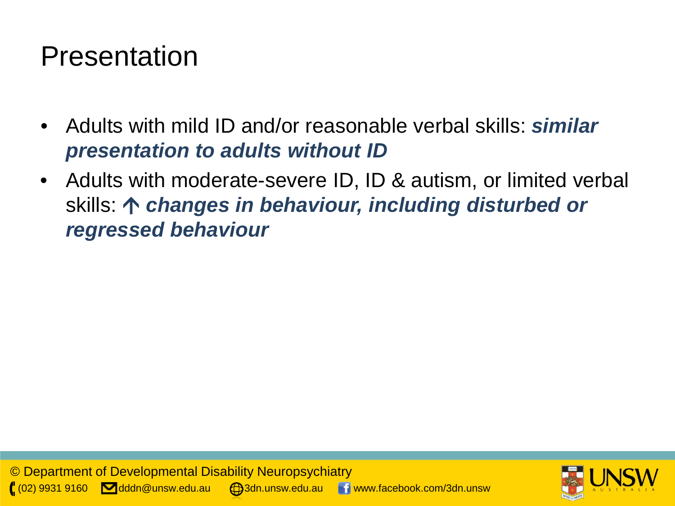#### Presentation

- Adults with mild ID and/or reasonable verbal skills: *similar presentation to adults without ID*
- Adults with moderate-severe ID, ID & autism, or limited verbal skills: *changes in behaviour, including disturbed or regressed behaviour*

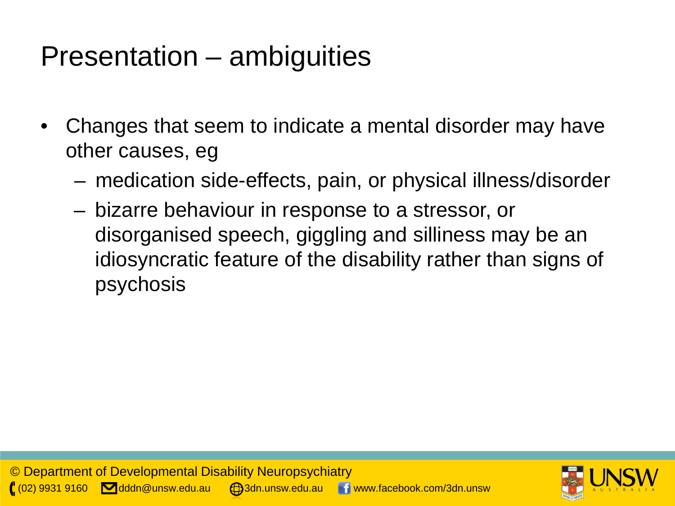#### Presentation – ambiguities

- Changes that seem to indicate a mental disorder may have other causes, eg
	- medication side-effects, pain, or physical illness/disorder
	- bizarre behaviour in response to a stressor, or disorganised speech, giggling and silliness may be an idiosyncratic feature of the disability rather than signs of psychosis

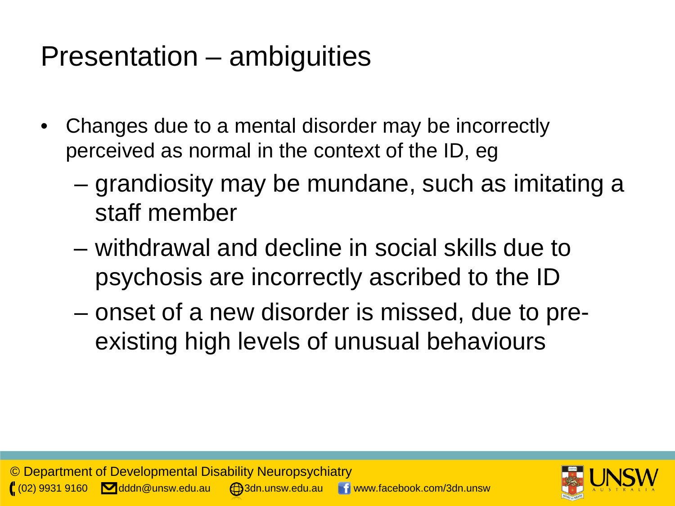#### Presentation – ambiguities

- Changes due to a mental disorder may be incorrectly perceived as normal in the context of the ID, eg
	- grandiosity may be mundane, such as imitating a staff member
	- withdrawal and decline in social skills due to psychosis are incorrectly ascribed to the ID
	- onset of a new disorder is missed, due to preexisting high levels of unusual behaviours

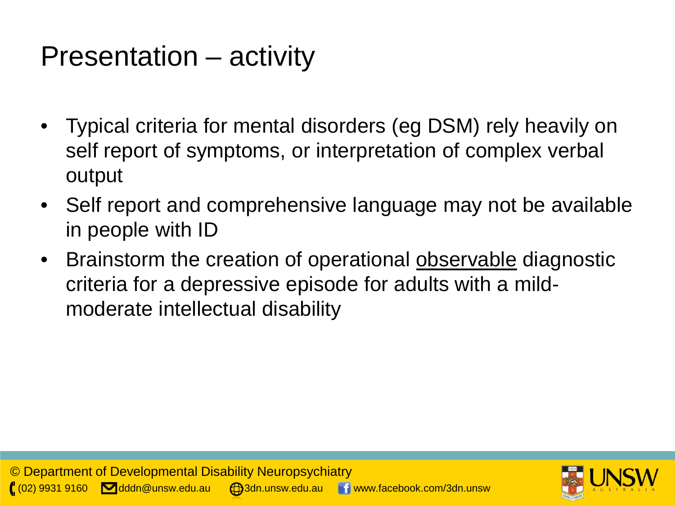#### Presentation – activity

- Typical criteria for mental disorders (eg DSM) rely heavily on self report of symptoms, or interpretation of complex verbal output
- Self report and comprehensive language may not be available in people with ID
- Brainstorm the creation of operational **observable** diagnostic criteria for a depressive episode for adults with a mildmoderate intellectual disability

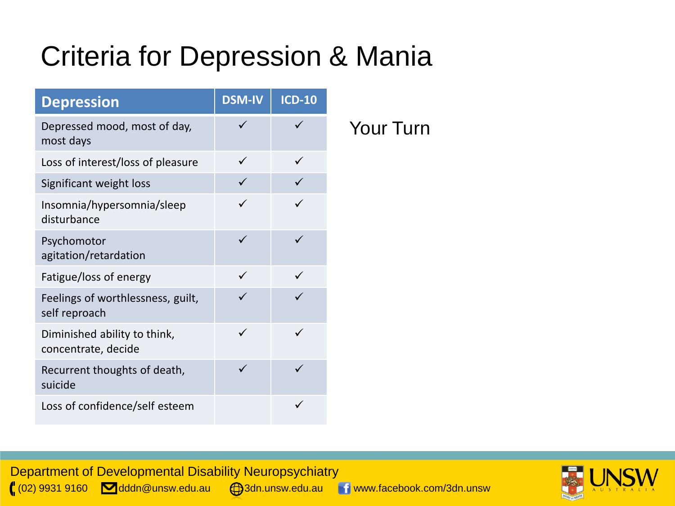## Criteria for Depression & Mania

| <b>Depression</b>                                   | <b>DSM-IV</b> | <b>ICD-10</b> |
|-----------------------------------------------------|---------------|---------------|
| Depressed mood, most of day,<br>most days           | ✓             |               |
| Loss of interest/loss of pleasure                   |               |               |
| Significant weight loss                             | ✓             |               |
| Insomnia/hypersomnia/sleep<br>disturbance           | ✓             | ✓             |
| Psychomotor<br>agitation/retardation                | ✓             |               |
| Fatigue/loss of energy                              |               |               |
| Feelings of worthlessness, guilt,<br>self reproach  |               |               |
| Diminished ability to think,<br>concentrate, decide | ✓             |               |
| Recurrent thoughts of death,<br>suicide             | $\checkmark$  |               |
| Loss of confidence/self esteem                      |               |               |

Your Turn



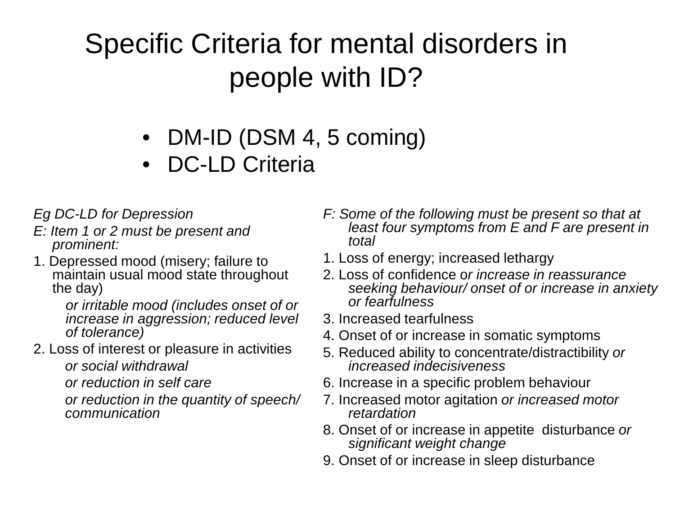## Specific Criteria for mental disorders in people with ID?

- DM-ID (DSM 4, 5 coming)
- DC-LD Criteria

*Eg DC-LD for Depression*

- *E: Item 1 or 2 must be present and prominent:*
- 1. Depressed mood (misery; failure to maintain usual mood state throughout the day)

*or irritable mood (includes onset of or increase in aggression; reduced level of tolerance)*

2. Loss of interest or pleasure in activities *or social withdrawal* 

*or reduction in self care* 

*or reduction in the quantity of speech/ communication*

- *F: Some of the following must be present so that at least four symptoms from E and F are present in total*
- 1. Loss of energy; increased lethargy
- 2. Loss of confidence o*r increase in reassurance seeking behaviour/ onset of or increase in anxiety or fearfulness*
- 3. Increased tearfulness
- 4. Onset of or increase in somatic symptoms
- 5. Reduced ability to concentrate/distractibility *or increased indecisiveness*
- 6. Increase in a specific problem behaviour
- 7. Increased motor agitation *or increased motor retardation*
- 8. Onset of or increase in appetite disturbance *or significant weight change*
- 9. Onset of or increase in sleep disturbance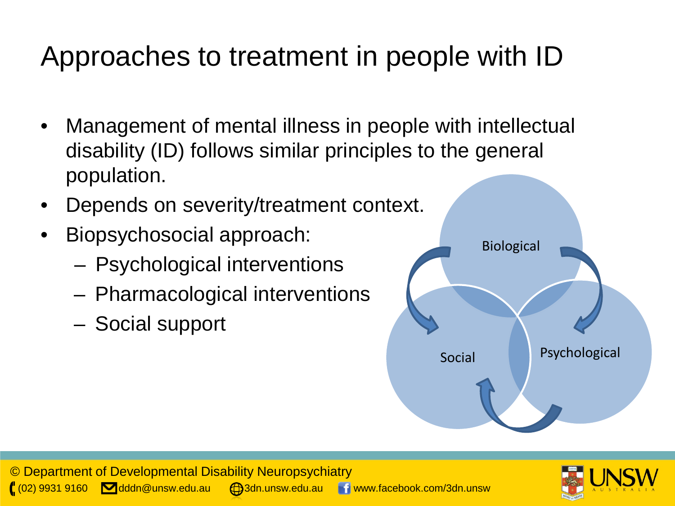# Approaches to treatment in people with ID

- Management of mental illness in people with intellectual disability (ID) follows similar principles to the general population.
- Depends on severity/treatment context.
- Biopsychosocial approach:
	- Psychological interventions
	- Pharmacological interventions
	- Social support



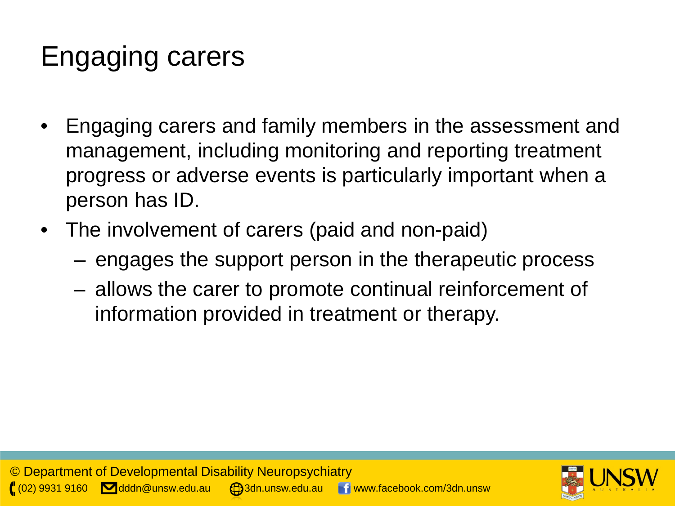## Engaging carers

- Engaging carers and family members in the assessment and management, including monitoring and reporting treatment progress or adverse events is particularly important when a person has ID.
- The involvement of carers (paid and non-paid)
	- engages the support person in the therapeutic process
	- allows the carer to promote continual reinforcement of information provided in treatment or therapy.

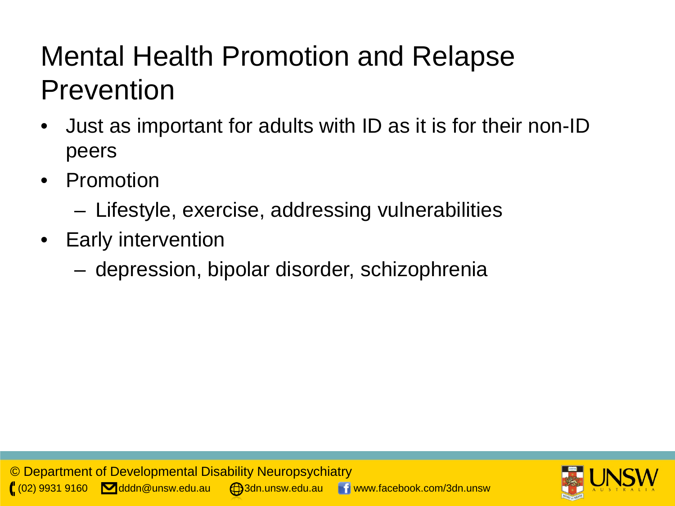## Mental Health Promotion and Relapse **Prevention**

- Just as important for adults with ID as it is for their non-ID peers
- Promotion
	- Lifestyle, exercise, addressing vulnerabilities
- Early intervention
	- depression, bipolar disorder, schizophrenia

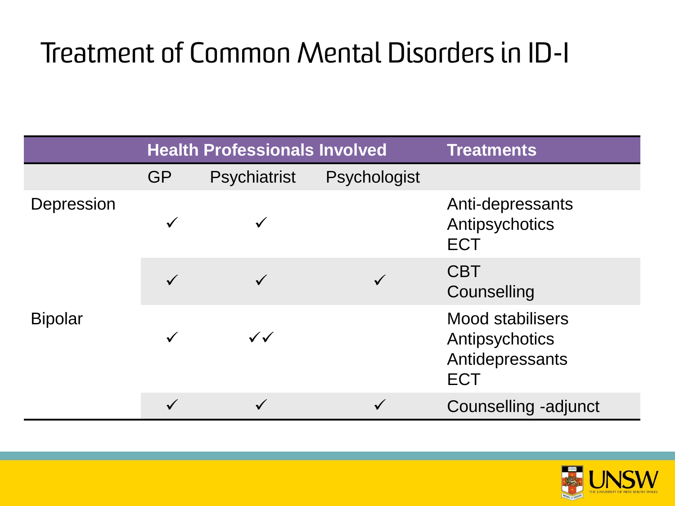## Treatment of Common Mental Disorders in ID-I

|                              | <b>Health Professionals Involved</b> |              |              | <b>Treatments</b>                                                          |
|------------------------------|--------------------------------------|--------------|--------------|----------------------------------------------------------------------------|
|                              | <b>GP</b>                            | Psychiatrist | Psychologist |                                                                            |
| Depression<br><b>Bipolar</b> |                                      |              |              | Anti-depressants<br>Antipsychotics<br><b>ECT</b>                           |
|                              |                                      |              |              | <b>CBT</b><br>Counselling                                                  |
|                              |                                      | $\checkmark$ |              | <b>Mood stabilisers</b><br>Antipsychotics<br>Antidepressants<br><b>ECT</b> |
|                              |                                      |              |              | Counselling -adjunct                                                       |

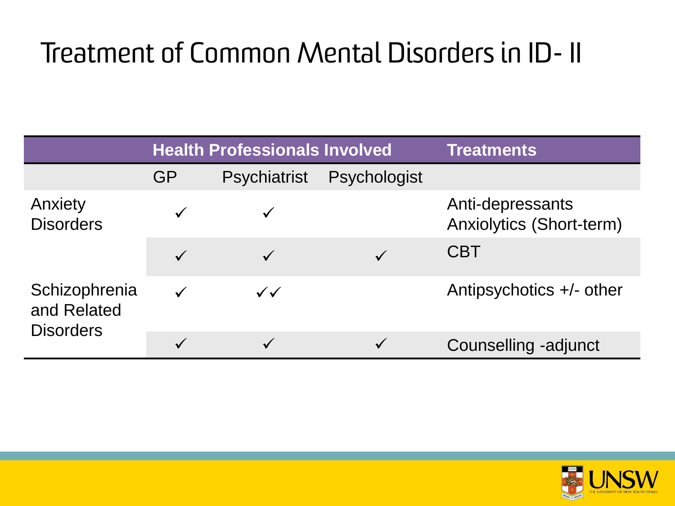## Treatment of Common Mental Disorders in ID- II

|                                                  |              | <b>Health Professionals Involved</b> | <b>Treatments</b>   |                                                     |
|--------------------------------------------------|--------------|--------------------------------------|---------------------|-----------------------------------------------------|
|                                                  | GP           | <b>Psychiatrist</b>                  | <b>Psychologist</b> |                                                     |
| Anxiety<br><b>Disorders</b>                      |              |                                      |                     | Anti-depressants<br><b>Anxiolytics (Short-term)</b> |
|                                                  | $\checkmark$ |                                      |                     | <b>CBT</b>                                          |
| Schizophrenia<br>and Related<br><b>Disorders</b> | $\checkmark$ | $\checkmark$                         |                     | Antipsychotics +/- other                            |
|                                                  | $\checkmark$ |                                      |                     | Counselling -adjunct                                |

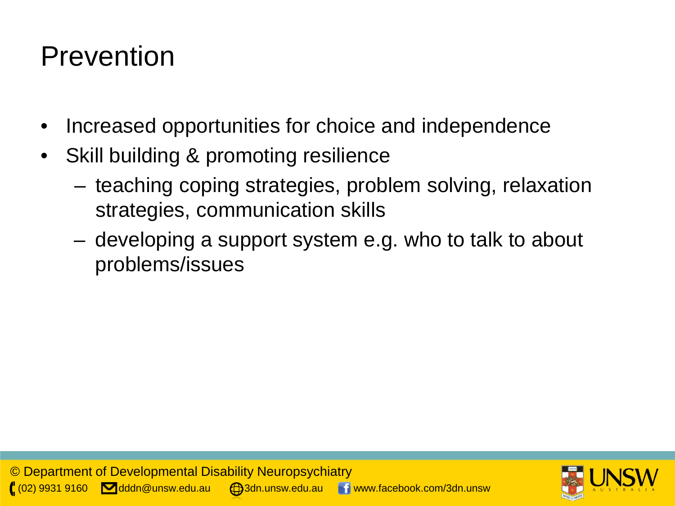#### Prevention

- Increased opportunities for choice and independence
- Skill building & promoting resilience
	- teaching coping strategies, problem solving, relaxation strategies, communication skills
	- developing a support system e.g. who to talk to about problems/issues

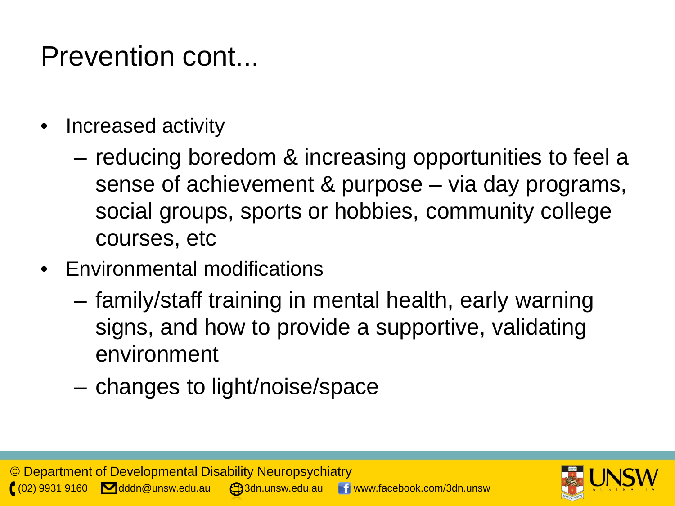## Prevention cont...

- Increased activity
	- reducing boredom & increasing opportunities to feel a sense of achievement & purpose – via day programs, social groups, sports or hobbies, community college courses, etc
- Environmental modifications
	- family/staff training in mental health, early warning signs, and how to provide a supportive, validating environment
	- changes to light/noise/space

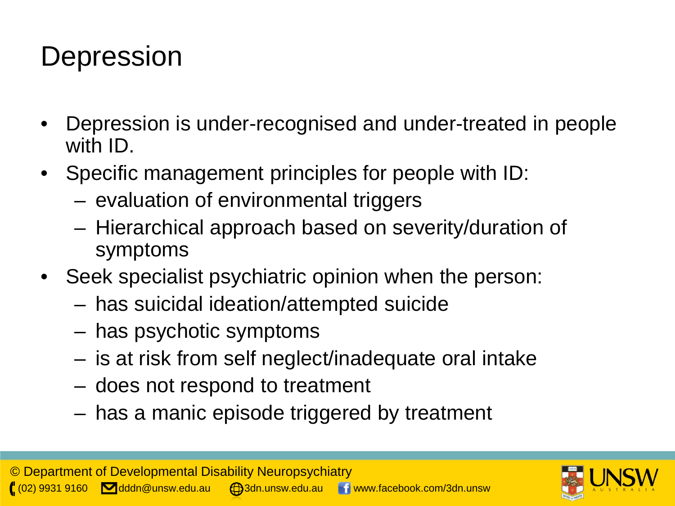#### **Depression**

- Depression is under-recognised and under-treated in people with ID.
- Specific management principles for people with ID:
	- evaluation of environmental triggers
	- Hierarchical approach based on severity/duration of symptoms
- Seek specialist psychiatric opinion when the person:
	- has suicidal ideation/attempted suicide
	- has psychotic symptoms
	- is at risk from self neglect/inadequate oral intake
	- does not respond to treatment
	- has a manic episode triggered by treatment

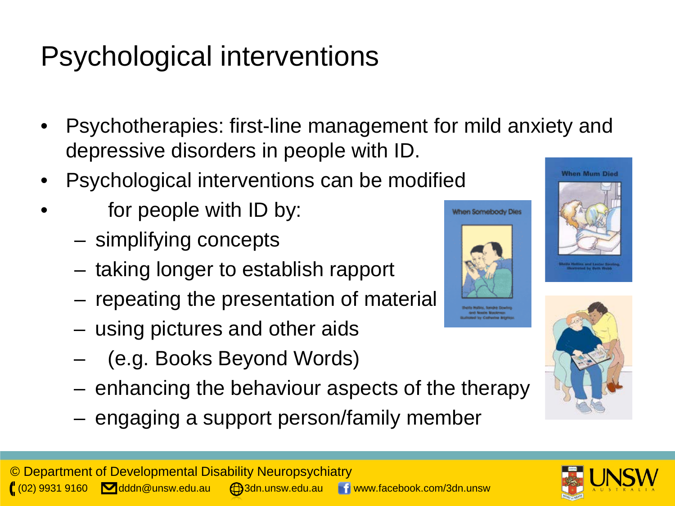## Psychological interventions

- Psychotherapies: first-line management for mild anxiety and depressive disorders in people with ID.
- Psychological interventions can be modified
- for people with ID by:
	- simplifying concepts
	- taking longer to establish rapport
	- repeating the presentation of material
	- using pictures and other aids
	- (e.g. Books Beyond Words)
	- enhancing the behaviour aspects of the therapy
	- engaging a support person/family member







When Somebody Dies

**drid Noole Mockeys** 

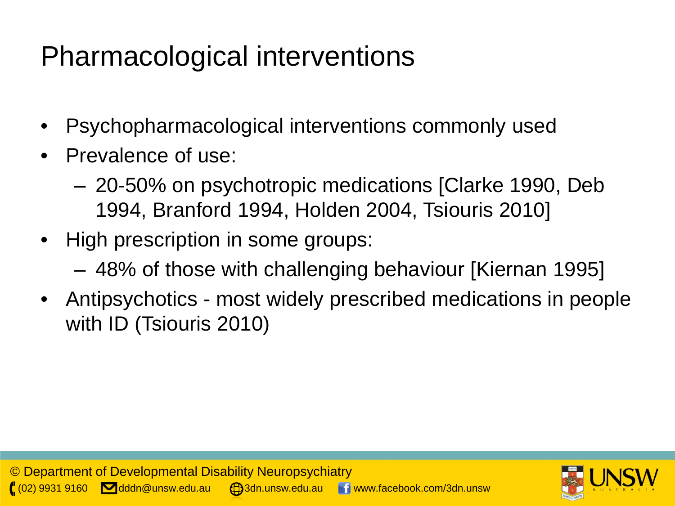## Pharmacological interventions

- Psychopharmacological interventions commonly used
- Prevalence of use:
	- 20-50% on psychotropic medications [Clarke 1990, Deb 1994, Branford 1994, Holden 2004, Tsiouris 2010]
- High prescription in some groups:
	- 48% of those with challenging behaviour [Kiernan 1995]
- Antipsychotics most widely prescribed medications in people with ID (Tsiouris 2010)

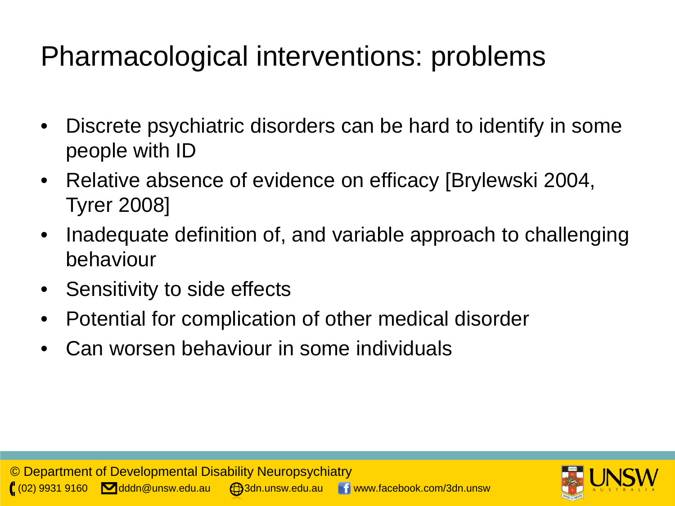## Pharmacological interventions: problems

- Discrete psychiatric disorders can be hard to identify in some people with ID
- Relative absence of evidence on efficacy [Brylewski 2004, Tyrer 2008]
- Inadequate definition of, and variable approach to challenging behaviour
- Sensitivity to side effects
- Potential for complication of other medical disorder
- Can worsen behaviour in some individuals

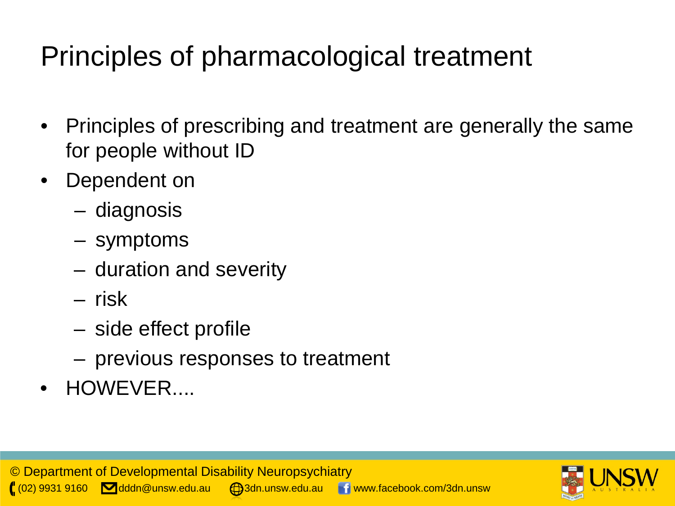## Principles of pharmacological treatment

- Principles of prescribing and treatment are generally the same for people without ID
- Dependent on
	- diagnosis
	- symptoms
	- duration and severity
	- risk
	- side effect profile
	- previous responses to treatment
- HOWEVER....

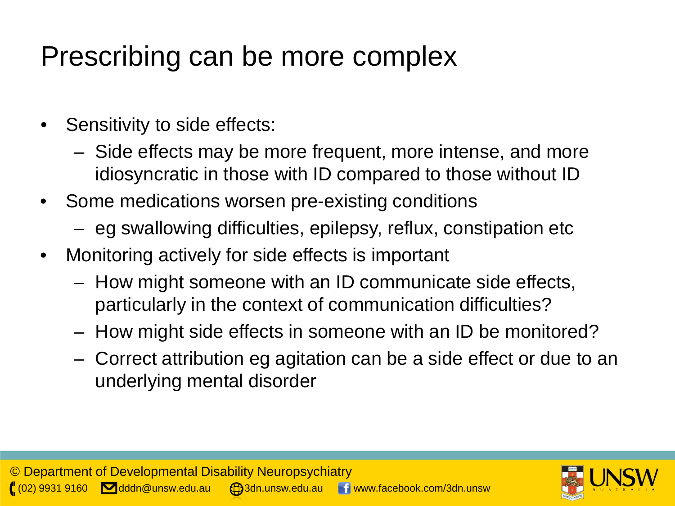## Prescribing can be more complex

- Sensitivity to side effects:
	- Side effects may be more frequent, more intense, and more idiosyncratic in those with ID compared to those without ID
- Some medications worsen pre-existing conditions
	- eg swallowing difficulties, epilepsy, reflux, constipation etc
- Monitoring actively for side effects is important
	- How might someone with an ID communicate side effects, particularly in the context of communication difficulties?
	- How might side effects in someone with an ID be monitored?
	- Correct attribution eg agitation can be a side effect or due to an underlying mental disorder

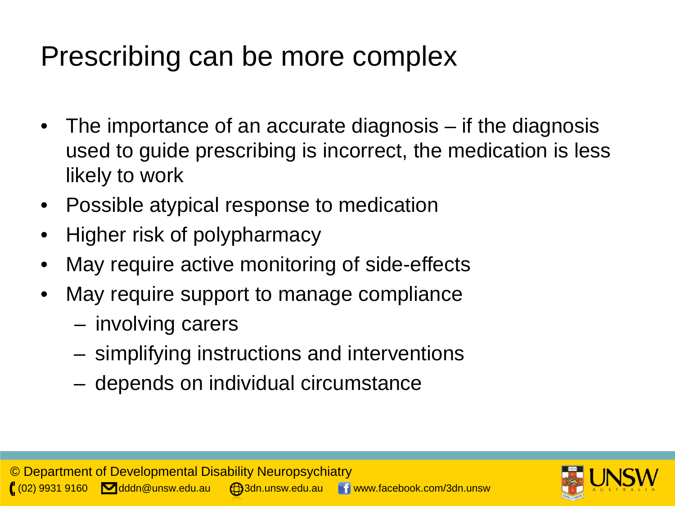### Prescribing can be more complex

- The importance of an accurate diagnosis if the diagnosis used to guide prescribing is incorrect, the medication is less likely to work
- Possible atypical response to medication
- Higher risk of polypharmacy
- May require active monitoring of side-effects
- May require support to manage compliance
	- involving carers
	- simplifying instructions and interventions
	- depends on individual circumstance

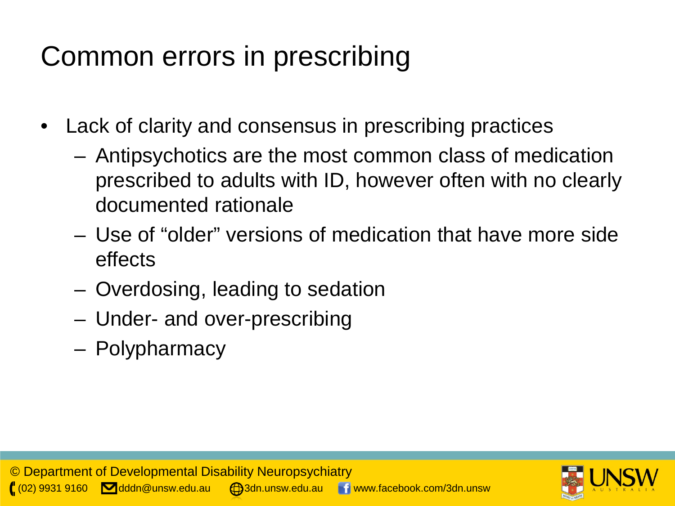## Common errors in prescribing

- Lack of clarity and consensus in prescribing practices
	- Antipsychotics are the most common class of medication prescribed to adults with ID, however often with no clearly documented rationale
	- Use of "older" versions of medication that have more side effects
	- Overdosing, leading to sedation
	- Under- and over-prescribing
	- Polypharmacy

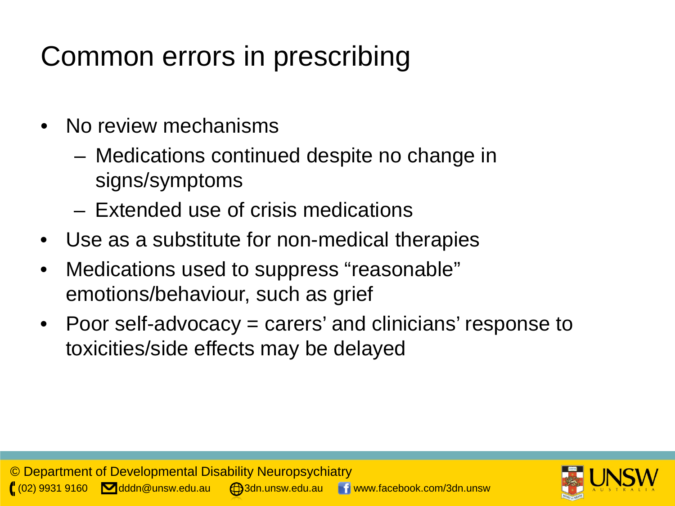# Common errors in prescribing

- No review mechanisms
	- Medications continued despite no change in signs/symptoms
	- Extended use of crisis medications
- Use as a substitute for non-medical therapies
- Medications used to suppress "reasonable" emotions/behaviour, such as grief
- Poor self-advocacy = carers' and clinicians' response to toxicities/side effects may be delayed

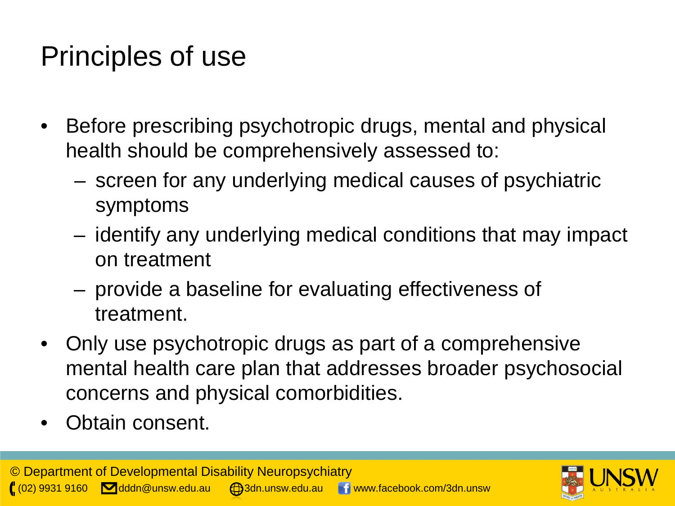## Principles of use

- Before prescribing psychotropic drugs, mental and physical health should be comprehensively assessed to:
	- screen for any underlying medical causes of psychiatric symptoms
	- identify any underlying medical conditions that may impact on treatment
	- provide a baseline for evaluating effectiveness of treatment.
- Only use psychotropic drugs as part of a comprehensive mental health care plan that addresses broader psychosocial concerns and physical comorbidities.
- Obtain consent.

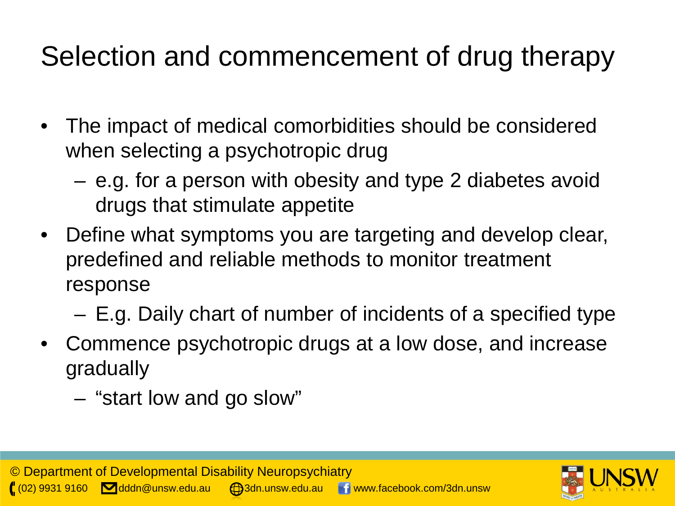## Selection and commencement of drug therapy

- The impact of medical comorbidities should be considered when selecting a psychotropic drug
	- e.g. for a person with obesity and type 2 diabetes avoid drugs that stimulate appetite
- Define what symptoms you are targeting and develop clear, predefined and reliable methods to monitor treatment response
	- E.g. Daily chart of number of incidents of a specified type
- Commence psychotropic drugs at a low dose, and increase gradually
	- "start low and go slow"

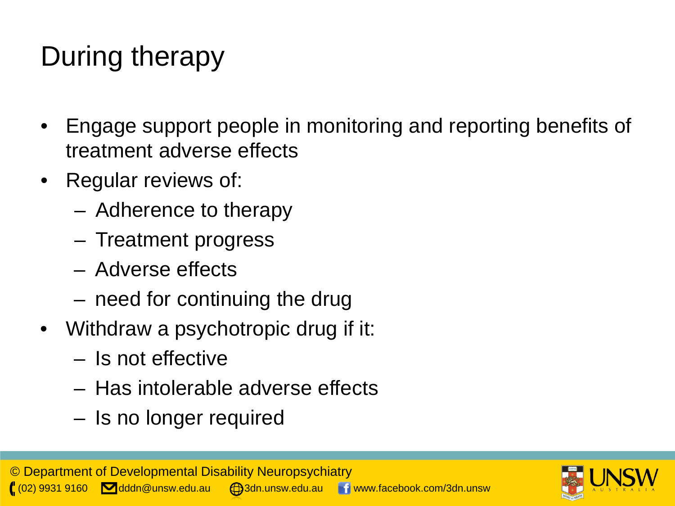# During therapy

- Engage support people in monitoring and reporting benefits of treatment adverse effects
- Regular reviews of:
	- Adherence to therapy
	- Treatment progress
	- Adverse effects
	- need for continuing the drug
- Withdraw a psychotropic drug if it:
	- Is not effective
	- Has intolerable adverse effects
	- Is no longer required

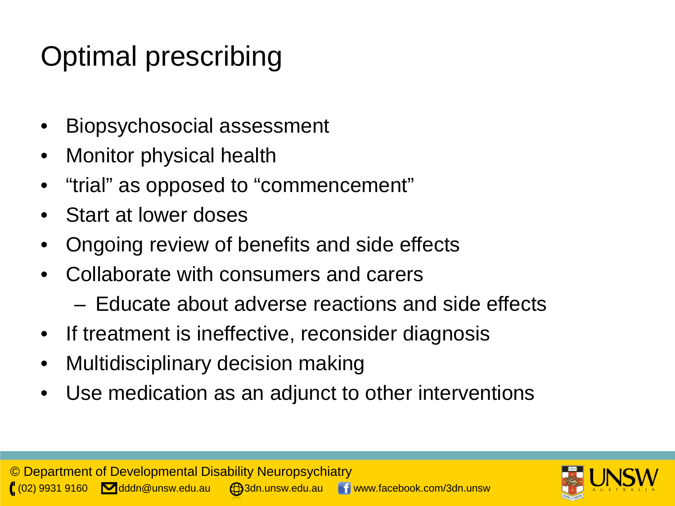## Optimal prescribing

- Biopsychosocial assessment
- Monitor physical health
- "trial" as opposed to "commencement"
- Start at lower doses
- Ongoing review of benefits and side effects
- Collaborate with consumers and carers
	- Educate about adverse reactions and side effects
- If treatment is ineffective, reconsider diagnosis
- Multidisciplinary decision making
- Use medication as an adjunct to other interventions

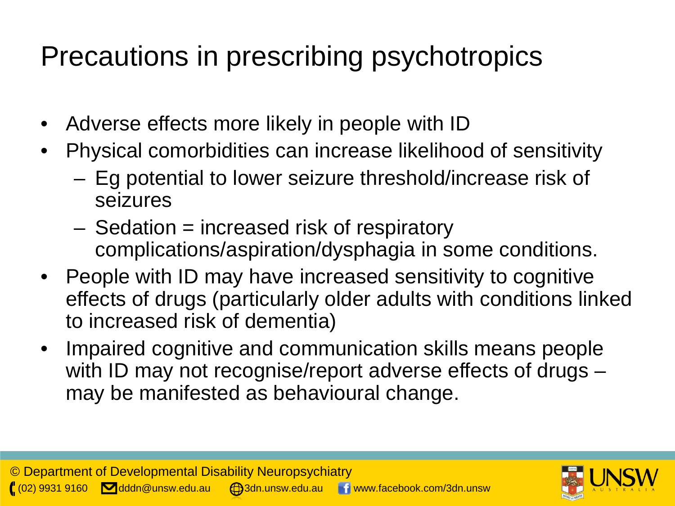## Precautions in prescribing psychotropics

- Adverse effects more likely in people with ID
- Physical comorbidities can increase likelihood of sensitivity
	- Eg potential to lower seizure threshold/increase risk of seizures
	- Sedation = increased risk of respiratory complications/aspiration/dysphagia in some conditions.
- People with ID may have increased sensitivity to cognitive effects of drugs (particularly older adults with conditions linked to increased risk of dementia)
- Impaired cognitive and communication skills means people with ID may not recognise/report adverse effects of drugs – may be manifested as behavioural change.

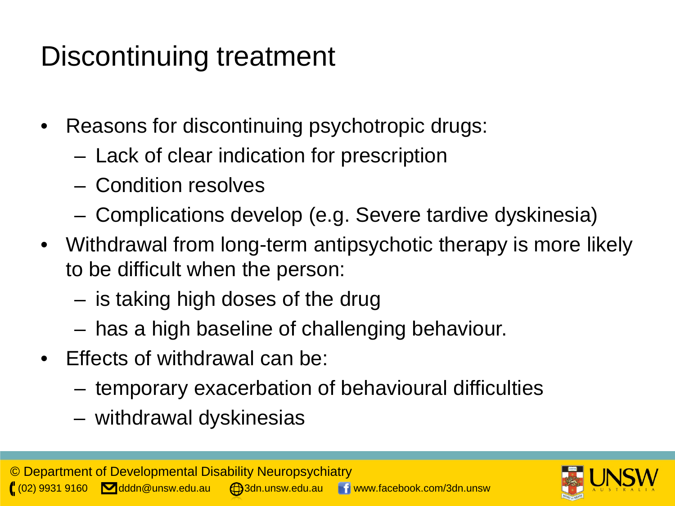## Discontinuing treatment

- Reasons for discontinuing psychotropic drugs:
	- Lack of clear indication for prescription
	- Condition resolves
	- Complications develop (e.g. Severe tardive dyskinesia)
- Withdrawal from long-term antipsychotic therapy is more likely to be difficult when the person:
	- is taking high doses of the drug
	- has a high baseline of challenging behaviour.
- Effects of withdrawal can be:
	- temporary exacerbation of behavioural difficulties
	- withdrawal dyskinesias

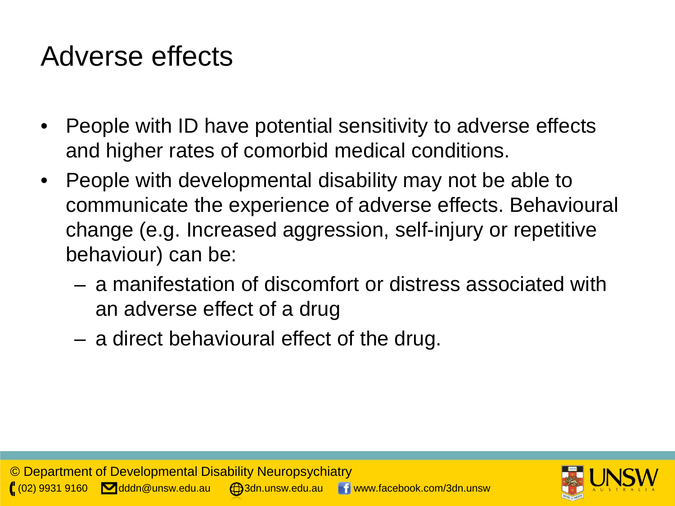#### Adverse effects

- People with ID have potential sensitivity to adverse effects and higher rates of comorbid medical conditions.
- People with developmental disability may not be able to communicate the experience of adverse effects. Behavioural change (e.g. Increased aggression, self-injury or repetitive behaviour) can be:
	- a manifestation of discomfort or distress associated with an adverse effect of a drug
	- a direct behavioural effect of the drug.

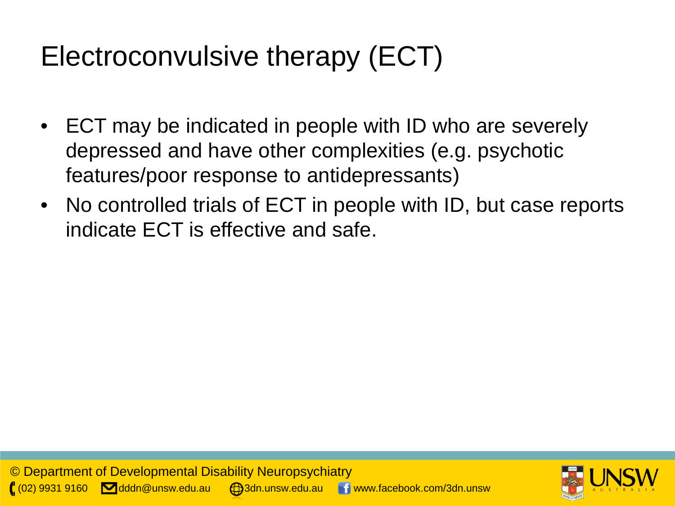## Electroconvulsive therapy (ECT)

- ECT may be indicated in people with ID who are severely depressed and have other complexities (e.g. psychotic features/poor response to antidepressants)
- No controlled trials of ECT in people with ID, but case reports indicate ECT is effective and safe.

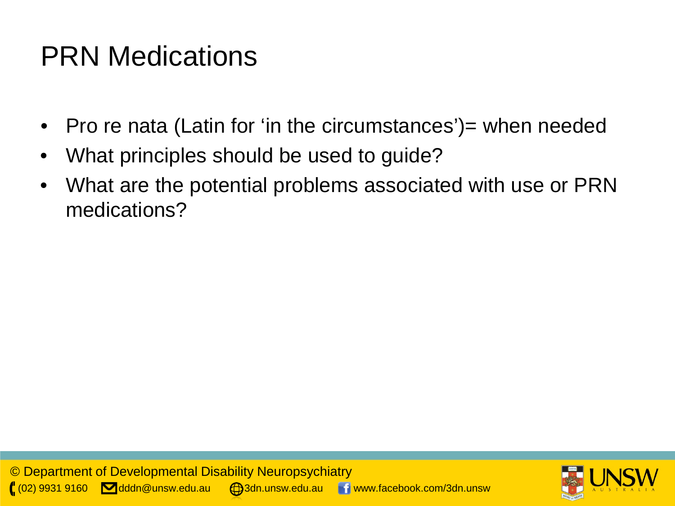## PRN Medications

- Pro re nata (Latin for 'in the circumstances') = when needed
- What principles should be used to guide?
- What are the potential problems associated with use or PRN medications?

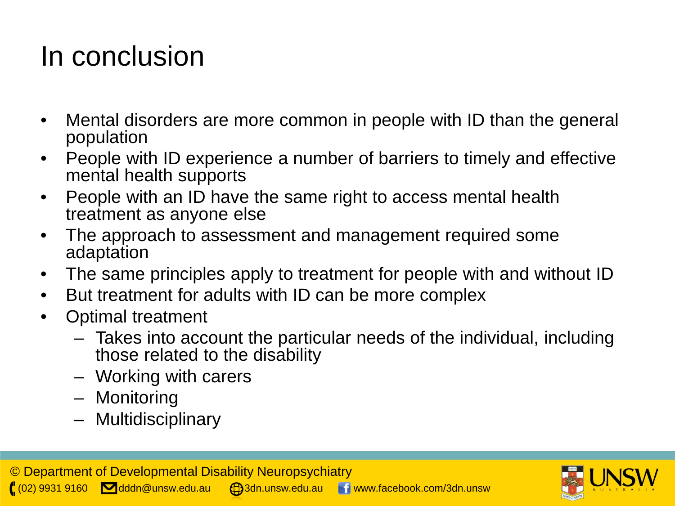### In conclusion

- Mental disorders are more common in people with ID than the general population
- People with ID experience a number of barriers to timely and effective mental health supports
- People with an ID have the same right to access mental health treatment as anyone else
- The approach to assessment and management required some adaptation
- The same principles apply to treatment for people with and without ID
- But treatment for adults with ID can be more complex
- Optimal treatment
	- Takes into account the particular needs of the individual, including those related to the disability
	- Working with carers
	- Monitoring
	- Multidisciplinary

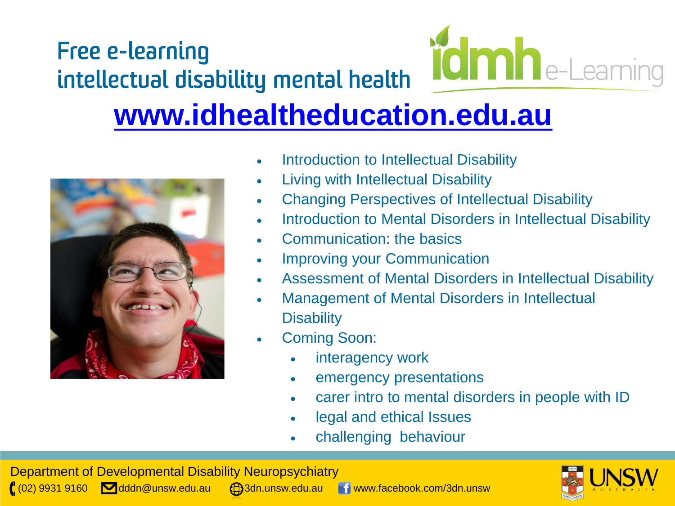



- Introduction to Intellectual Disability
- Living with Intellectual Disability
- Changing Perspectives of Intellectual Disability
- Introduction to Mental Disorders in Intellectual Disability
- Communication: the basics
- Improving your Communication
- Assessment of Mental Disorders in Intellectual Disability
- Management of Mental Disorders in Intellectual **Disability**
- Coming Soon:
	- interagency work
	- emergency presentations
	- carer intro to mental disorders in people with ID
	- legal and ethical Issues
	- challenging behaviour

Department of Developmental Disability Neuropsychiatry  $\left( \begin{array}{ccc} \ 02 \end{array} \right)$  9931 9160  $\blacksquare$ dddn@unsw.edu.au  $\blacksquare$ 3dn.unsw.edu.au www.facebook.com/3dn.unsw

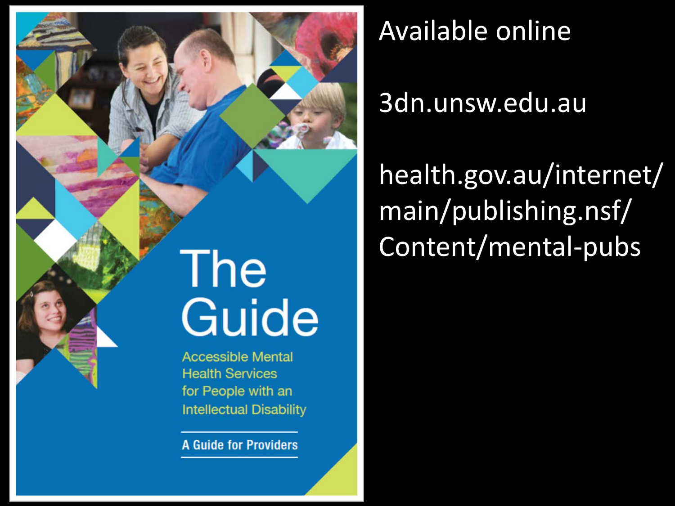

**A Guide for Providers** 

## Available online

#### 3dn.unsw.edu.au

health.gov.au/internet/ main/publishing.nsf/ Content/mental-pubs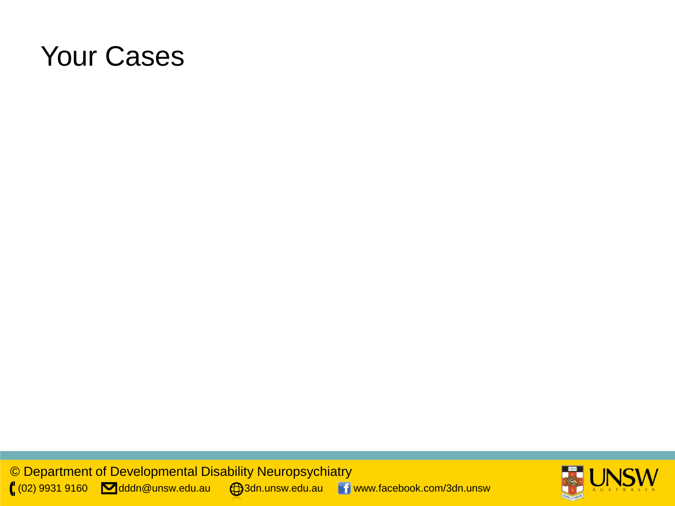#### Your Cases

© Department of Developmental Disability Neuropsychiatry ( $(02)$  9931 9160  $\blacksquare$ dddn@unsw.edu.au  $\enspace \bigoplus$ 3dn.unsw.edu.au  $\enspace \blacksquare$  www.facebook.com/3dn.unsw